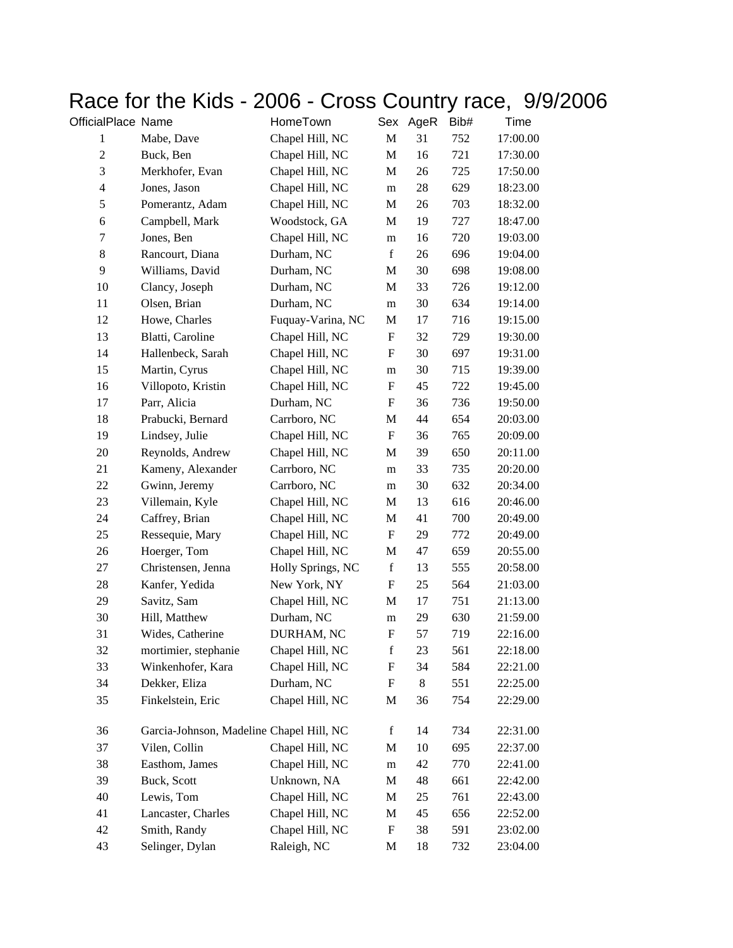## Race for the Kids - 2006 - Cross Country race, 9/9/2006<br>
MomeTown Sex AgeR Bib# Time

| OfficialPlace Name |                                          | HomeTown          | Sex                       | AgeR | Bib# | Time     |
|--------------------|------------------------------------------|-------------------|---------------------------|------|------|----------|
| $\mathbf{1}$       | Mabe, Dave                               | Chapel Hill, NC   | $\mathbf{M}$              | 31   | 752  | 17:00.00 |
| $\overline{2}$     | Buck, Ben                                | Chapel Hill, NC   | M                         | 16   | 721  | 17:30.00 |
| 3                  | Merkhofer, Evan                          | Chapel Hill, NC   | M                         | 26   | 725  | 17:50.00 |
| $\overline{4}$     | Jones, Jason                             | Chapel Hill, NC   | m                         | 28   | 629  | 18:23.00 |
| 5                  | Pomerantz, Adam                          | Chapel Hill, NC   | M                         | 26   | 703  | 18:32.00 |
| $\sqrt{6}$         | Campbell, Mark                           | Woodstock, GA     | M                         | 19   | 727  | 18:47.00 |
| 7                  | Jones, Ben                               | Chapel Hill, NC   | m                         | 16   | 720  | 19:03.00 |
| $\,8\,$            | Rancourt, Diana                          | Durham, NC        | $\mathbf f$               | 26   | 696  | 19:04.00 |
| 9                  | Williams, David                          | Durham, NC        | M                         | 30   | 698  | 19:08.00 |
| 10                 | Clancy, Joseph                           | Durham, NC        | M                         | 33   | 726  | 19:12.00 |
| 11                 | Olsen, Brian                             | Durham, NC        | ${\bf m}$                 | 30   | 634  | 19:14.00 |
| 12                 | Howe, Charles                            | Fuquay-Varina, NC | M                         | 17   | 716  | 19:15.00 |
| 13                 | Blatti, Caroline                         | Chapel Hill, NC   | F                         | 32   | 729  | 19:30.00 |
| 14                 | Hallenbeck, Sarah                        | Chapel Hill, NC   | F                         | 30   | 697  | 19:31.00 |
| 15                 | Martin, Cyrus                            | Chapel Hill, NC   | m                         | 30   | 715  | 19:39.00 |
| 16                 | Villopoto, Kristin                       | Chapel Hill, NC   | F                         | 45   | 722  | 19:45.00 |
| 17                 | Parr, Alicia                             | Durham, NC        | $\boldsymbol{\mathrm{F}}$ | 36   | 736  | 19:50.00 |
| 18                 | Prabucki, Bernard                        | Carrboro, NC      | M                         | 44   | 654  | 20:03.00 |
| 19                 | Lindsey, Julie                           | Chapel Hill, NC   | F                         | 36   | 765  | 20:09.00 |
| 20                 | Reynolds, Andrew                         | Chapel Hill, NC   | M                         | 39   | 650  | 20:11.00 |
| 21                 | Kameny, Alexander                        | Carrboro, NC      | m                         | 33   | 735  | 20:20.00 |
| 22                 | Gwinn, Jeremy                            | Carrboro, NC      | m                         | 30   | 632  | 20:34.00 |
| 23                 | Villemain, Kyle                          | Chapel Hill, NC   | M                         | 13   | 616  | 20:46.00 |
| 24                 | Caffrey, Brian                           | Chapel Hill, NC   | M                         | 41   | 700  | 20:49.00 |
| 25                 | Ressequie, Mary                          | Chapel Hill, NC   | $\boldsymbol{\mathrm{F}}$ | 29   | 772  | 20:49.00 |
| 26                 | Hoerger, Tom                             | Chapel Hill, NC   | M                         | 47   | 659  | 20:55.00 |
| 27                 | Christensen, Jenna                       | Holly Springs, NC | $\mathbf f$               | 13   | 555  | 20:58.00 |
| 28                 | Kanfer, Yedida                           | New York, NY      | $\boldsymbol{\mathrm{F}}$ | 25   | 564  | 21:03.00 |
| 29                 | Savitz, Sam                              | Chapel Hill, NC   | M                         | 17   | 751  | 21:13.00 |
| 30                 | Hill, Matthew                            | Durham, NC        | m                         | 29   | 630  | 21:59.00 |
| 31                 | Wides, Catherine                         | DURHAM, NC        | ${\bf F}$                 | 57   | 719  | 22:16.00 |
| 32                 | mortimier, stephanie                     | Chapel Hill, NC   | $\mathbf f$               | 23   | 561  | 22:18.00 |
| 33                 | Winkenhofer, Kara                        | Chapel Hill, NC   | F                         | 34   | 584  | 22:21.00 |
| 34                 | Dekker, Eliza                            | Durham, NC        | $\boldsymbol{\mathrm{F}}$ | 8    | 551  | 22:25.00 |
| 35                 | Finkelstein, Eric                        | Chapel Hill, NC   | M                         | 36   | 754  | 22:29.00 |
| 36                 | Garcia-Johnson, Madeline Chapel Hill, NC |                   | f                         | 14   | 734  | 22:31.00 |
| 37                 | Vilen, Collin                            | Chapel Hill, NC   | M                         | 10   | 695  | 22:37.00 |
| 38                 | Easthom, James                           | Chapel Hill, NC   | m                         | 42   | 770  | 22:41.00 |
| 39                 | Buck, Scott                              | Unknown, NA       | M                         | 48   | 661  | 22:42.00 |
| 40                 | Lewis, Tom                               | Chapel Hill, NC   | M                         | 25   | 761  | 22:43.00 |
| 41                 | Lancaster, Charles                       | Chapel Hill, NC   | M                         | 45   | 656  | 22:52.00 |
| 42                 | Smith, Randy                             | Chapel Hill, NC   | F                         | 38   | 591  | 23:02.00 |
| 43                 | Selinger, Dylan                          | Raleigh, NC       | M                         | 18   | 732  | 23:04.00 |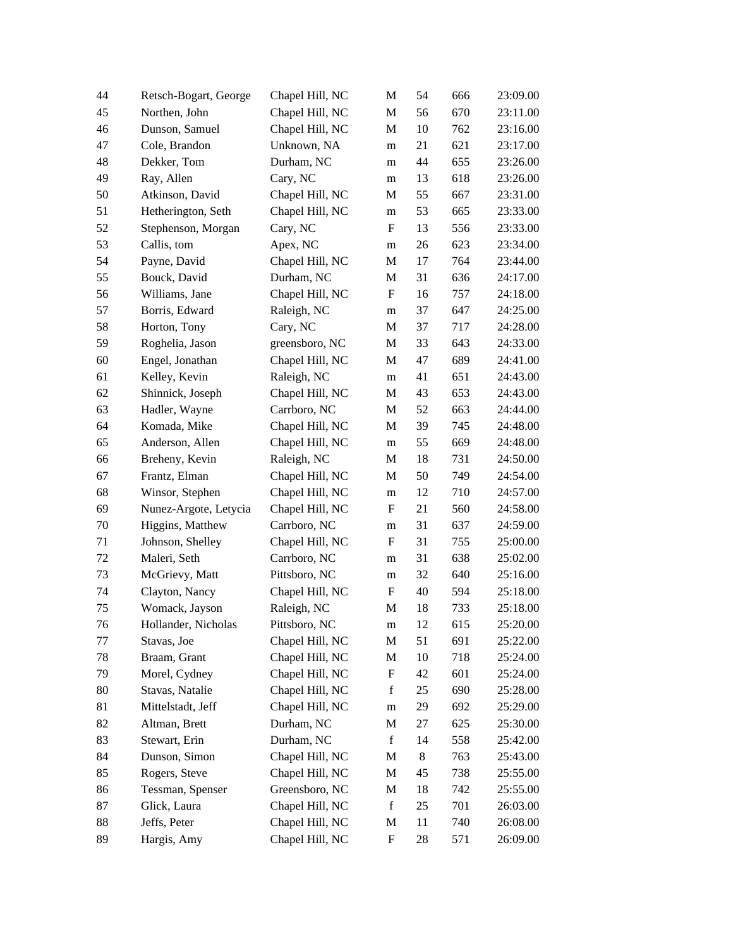| 44     | Retsch-Bogart, George | Chapel Hill, NC | M                         | 54 | 666 | 23:09.00 |
|--------|-----------------------|-----------------|---------------------------|----|-----|----------|
| 45     | Northen, John         | Chapel Hill, NC | M                         | 56 | 670 | 23:11.00 |
| 46     | Dunson, Samuel        | Chapel Hill, NC | M                         | 10 | 762 | 23:16.00 |
| 47     | Cole, Brandon         | Unknown, NA     | m                         | 21 | 621 | 23:17.00 |
| 48     | Dekker, Tom           | Durham, NC      | m                         | 44 | 655 | 23:26.00 |
| 49     | Ray, Allen            | Cary, NC        | m                         | 13 | 618 | 23:26.00 |
| 50     | Atkinson, David       | Chapel Hill, NC | M                         | 55 | 667 | 23:31.00 |
| 51     | Hetherington, Seth    | Chapel Hill, NC | m                         | 53 | 665 | 23:33.00 |
| 52     | Stephenson, Morgan    | Cary, NC        | F                         | 13 | 556 | 23:33.00 |
| 53     | Callis, tom           | Apex, NC        | m                         | 26 | 623 | 23:34.00 |
| 54     | Payne, David          | Chapel Hill, NC | M                         | 17 | 764 | 23:44.00 |
| 55     | Bouck, David          | Durham, NC      | M                         | 31 | 636 | 24:17.00 |
| 56     | Williams, Jane        | Chapel Hill, NC | F                         | 16 | 757 | 24:18.00 |
| 57     | Borris, Edward        | Raleigh, NC     | m                         | 37 | 647 | 24:25.00 |
| 58     | Horton, Tony          | Cary, NC        | M                         | 37 | 717 | 24:28.00 |
| 59     | Roghelia, Jason       | greensboro, NC  | M                         | 33 | 643 | 24:33.00 |
| 60     | Engel, Jonathan       | Chapel Hill, NC | M                         | 47 | 689 | 24:41.00 |
| 61     | Kelley, Kevin         | Raleigh, NC     | m                         | 41 | 651 | 24:43.00 |
| 62     | Shinnick, Joseph      | Chapel Hill, NC | M                         | 43 | 653 | 24:43.00 |
| 63     | Hadler, Wayne         | Carrboro, NC    | M                         | 52 | 663 | 24:44.00 |
| 64     | Komada, Mike          | Chapel Hill, NC | M                         | 39 | 745 | 24:48.00 |
| 65     | Anderson, Allen       | Chapel Hill, NC | m                         | 55 | 669 | 24:48.00 |
| 66     | Breheny, Kevin        | Raleigh, NC     | M                         | 18 | 731 | 24:50.00 |
| 67     | Frantz, Elman         | Chapel Hill, NC | M                         | 50 | 749 | 24:54.00 |
| 68     | Winsor, Stephen       | Chapel Hill, NC | m                         | 12 | 710 | 24:57.00 |
| 69     | Nunez-Argote, Letycia | Chapel Hill, NC | F                         | 21 | 560 | 24:58.00 |
| $70\,$ | Higgins, Matthew      | Carrboro, NC    | m                         | 31 | 637 | 24:59.00 |
| 71     | Johnson, Shelley      | Chapel Hill, NC | F                         | 31 | 755 | 25:00.00 |
| 72     | Maleri, Seth          | Carrboro, NC    | m                         | 31 | 638 | 25:02.00 |
| 73     | McGrievy, Matt        | Pittsboro, NC   | m                         | 32 | 640 | 25:16.00 |
| 74     | Clayton, Nancy        | Chapel Hill, NC | F                         | 40 | 594 | 25:18.00 |
| 75     | Womack, Jayson        | Raleigh, NC     | M                         | 18 | 733 | 25:18.00 |
| 76     | Hollander, Nicholas   | Pittsboro, NC   | m                         | 12 | 615 | 25:20.00 |
| 77     | Stavas, Joe           | Chapel Hill, NC | M                         | 51 | 691 | 25:22.00 |
| 78     | Braam, Grant          | Chapel Hill, NC | M                         | 10 | 718 | 25:24.00 |
| 79     | Morel, Cydney         | Chapel Hill, NC | F                         | 42 | 601 | 25:24.00 |
| $80\,$ | Stavas, Natalie       | Chapel Hill, NC | $\mathbf f$               | 25 | 690 | 25:28.00 |
| 81     | Mittelstadt, Jeff     | Chapel Hill, NC | ${\rm m}$                 | 29 | 692 | 25:29.00 |
| 82     | Altman, Brett         | Durham, NC      | M                         | 27 | 625 | 25:30.00 |
| 83     | Stewart, Erin         | Durham, NC      | $\mathbf f$               | 14 | 558 | 25:42.00 |
| 84     | Dunson, Simon         | Chapel Hill, NC | M                         | 8  | 763 | 25:43.00 |
| 85     | Rogers, Steve         | Chapel Hill, NC | M                         | 45 | 738 | 25:55.00 |
| 86     | Tessman, Spenser      | Greensboro, NC  | M                         | 18 | 742 | 25:55.00 |
| 87     | Glick, Laura          | Chapel Hill, NC | $\mathbf f$               | 25 | 701 | 26:03.00 |
| 88     | Jeffs, Peter          | Chapel Hill, NC | M                         | 11 | 740 | 26:08.00 |
| 89     |                       | Chapel Hill, NC | $\boldsymbol{\mathrm{F}}$ | 28 | 571 | 26:09.00 |
|        | Hargis, Amy           |                 |                           |    |     |          |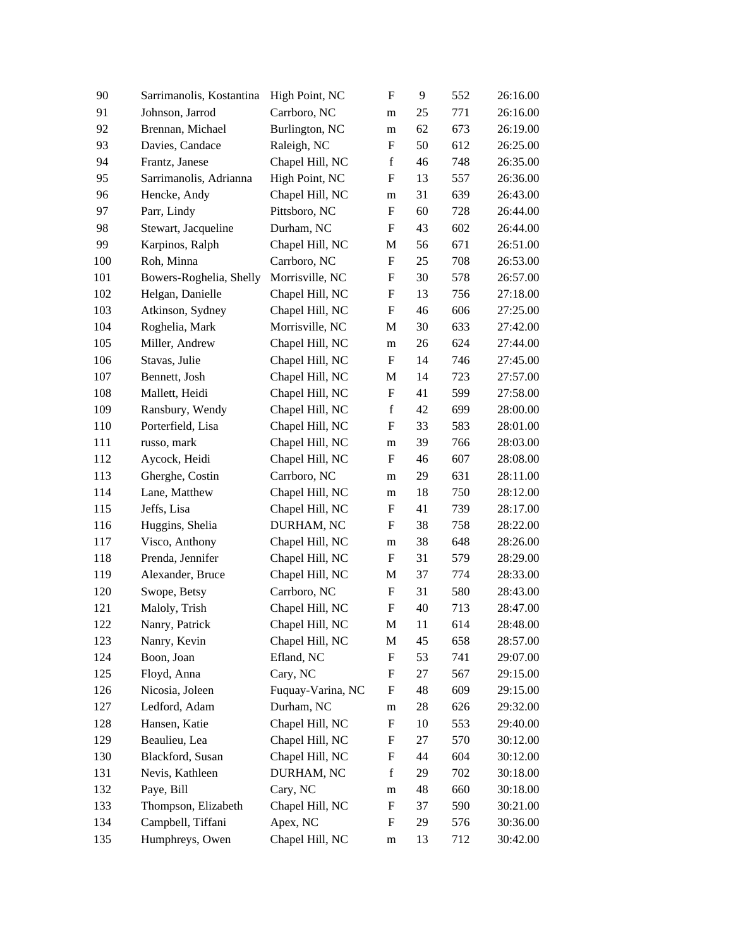| 90  | Sarrimanolis, Kostantina | High Point, NC    | $\mathbf F$               | 9  | 552 | 26:16.00 |
|-----|--------------------------|-------------------|---------------------------|----|-----|----------|
| 91  | Johnson, Jarrod          | Carrboro, NC      | m                         | 25 | 771 | 26:16.00 |
| 92  | Brennan, Michael         | Burlington, NC    | m                         | 62 | 673 | 26:19.00 |
| 93  | Davies, Candace          | Raleigh, NC       | $\mathbf F$               | 50 | 612 | 26:25.00 |
| 94  | Frantz, Janese           | Chapel Hill, NC   | $\mathbf f$               | 46 | 748 | 26:35.00 |
| 95  | Sarrimanolis, Adrianna   | High Point, NC    | $\boldsymbol{\mathrm{F}}$ | 13 | 557 | 26:36.00 |
| 96  | Hencke, Andy             | Chapel Hill, NC   | m                         | 31 | 639 | 26:43.00 |
| 97  | Parr, Lindy              | Pittsboro, NC     | F                         | 60 | 728 | 26:44.00 |
| 98  | Stewart, Jacqueline      | Durham, NC        | F                         | 43 | 602 | 26:44.00 |
| 99  | Karpinos, Ralph          | Chapel Hill, NC   | M                         | 56 | 671 | 26:51.00 |
| 100 | Roh, Minna               | Carrboro, NC      | $\boldsymbol{\mathrm{F}}$ | 25 | 708 | 26:53.00 |
| 101 | Bowers-Roghelia, Shelly  | Morrisville, NC   | F                         | 30 | 578 | 26:57.00 |
| 102 | Helgan, Danielle         | Chapel Hill, NC   | ${\rm F}$                 | 13 | 756 | 27:18.00 |
| 103 | Atkinson, Sydney         | Chapel Hill, NC   | $\boldsymbol{\mathrm{F}}$ | 46 | 606 | 27:25.00 |
| 104 | Roghelia, Mark           | Morrisville, NC   | M                         | 30 | 633 | 27:42.00 |
| 105 | Miller, Andrew           | Chapel Hill, NC   | m                         | 26 | 624 | 27:44.00 |
| 106 | Stavas, Julie            | Chapel Hill, NC   | $\boldsymbol{\mathrm{F}}$ | 14 | 746 | 27:45.00 |
| 107 | Bennett, Josh            | Chapel Hill, NC   | M                         | 14 | 723 | 27:57.00 |
| 108 | Mallett, Heidi           | Chapel Hill, NC   | $\boldsymbol{\mathrm{F}}$ | 41 | 599 | 27:58.00 |
| 109 | Ransbury, Wendy          | Chapel Hill, NC   | $\mathbf f$               | 42 | 699 | 28:00.00 |
| 110 | Porterfield, Lisa        | Chapel Hill, NC   | F                         | 33 | 583 | 28:01.00 |
| 111 | russo, mark              | Chapel Hill, NC   | m                         | 39 | 766 | 28:03.00 |
| 112 | Aycock, Heidi            | Chapel Hill, NC   | F                         | 46 | 607 | 28:08.00 |
| 113 | Gherghe, Costin          | Carrboro, NC      | m                         | 29 | 631 | 28:11.00 |
| 114 | Lane, Matthew            | Chapel Hill, NC   | m                         | 18 | 750 | 28:12.00 |
| 115 | Jeffs, Lisa              | Chapel Hill, NC   | $\boldsymbol{\mathrm{F}}$ | 41 | 739 | 28:17.00 |
| 116 | Huggins, Shelia          | DURHAM, NC        | F                         | 38 | 758 | 28:22.00 |
| 117 | Visco, Anthony           | Chapel Hill, NC   | m                         | 38 | 648 | 28:26.00 |
| 118 | Prenda, Jennifer         | Chapel Hill, NC   | F                         | 31 | 579 | 28:29.00 |
| 119 | Alexander, Bruce         | Chapel Hill, NC   | M                         | 37 | 774 | 28:33.00 |
| 120 | Swope, Betsy             | Carrboro, NC      | $\boldsymbol{\mathrm{F}}$ | 31 | 580 | 28:43.00 |
| 121 | Maloly, Trish            | Chapel Hill, NC   | $\boldsymbol{\mathrm{F}}$ | 40 | 713 | 28:47.00 |
| 122 | Nanry, Patrick           | Chapel Hill, NC   | M                         | 11 | 614 | 28:48.00 |
| 123 | Nanry, Kevin             | Chapel Hill, NC   | M                         | 45 | 658 | 28:57.00 |
| 124 | Boon, Joan               | Efland, NC        | F                         | 53 | 741 | 29:07.00 |
| 125 | Floyd, Anna              | Cary, NC          | F                         | 27 | 567 | 29:15.00 |
| 126 | Nicosia, Joleen          | Fuquay-Varina, NC | F                         | 48 | 609 | 29:15.00 |
| 127 | Ledford, Adam            | Durham, NC        | m                         | 28 | 626 | 29:32.00 |
| 128 | Hansen, Katie            | Chapel Hill, NC   | F                         | 10 | 553 | 29:40.00 |
| 129 | Beaulieu, Lea            | Chapel Hill, NC   | $\boldsymbol{\mathrm{F}}$ | 27 | 570 | 30:12.00 |
| 130 | Blackford, Susan         | Chapel Hill, NC   | $\boldsymbol{\mathrm{F}}$ | 44 | 604 | 30:12.00 |
| 131 | Nevis, Kathleen          | DURHAM, NC        | $\mathbf f$               | 29 | 702 | 30:18.00 |
| 132 | Paye, Bill               | Cary, NC          | m                         | 48 | 660 | 30:18.00 |
| 133 | Thompson, Elizabeth      | Chapel Hill, NC   | F                         | 37 | 590 | 30:21.00 |
| 134 | Campbell, Tiffani        | Apex, NC          | F                         | 29 | 576 | 30:36.00 |
| 135 | Humphreys, Owen          | Chapel Hill, NC   | ${\rm m}$                 | 13 | 712 | 30:42.00 |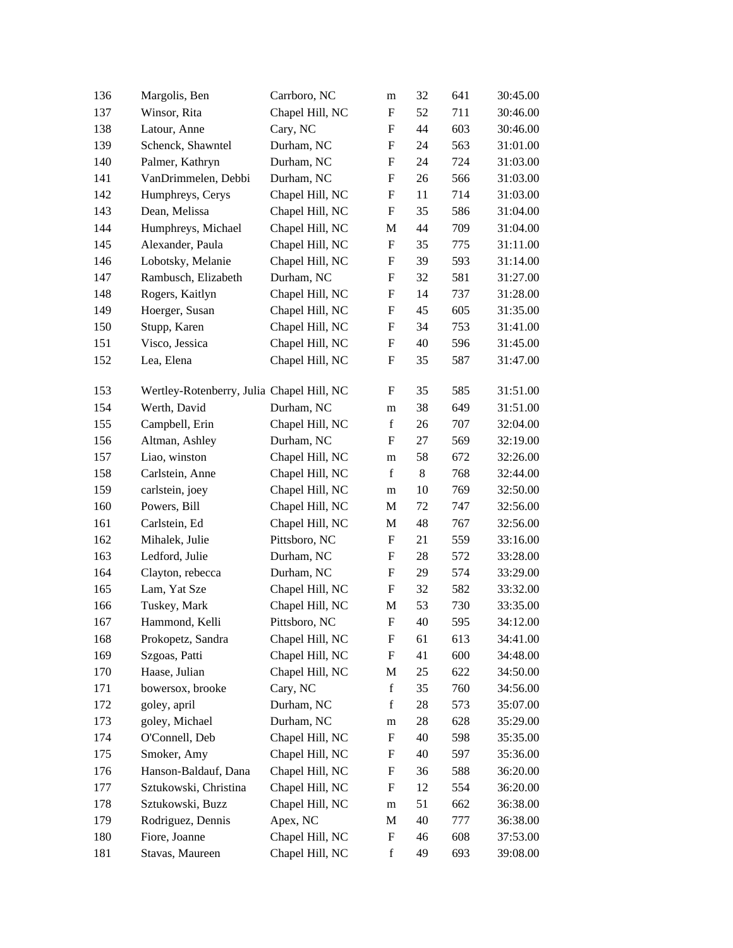| 136 | Margolis, Ben                             | Carrboro, NC    | m                         | 32 | 641 | 30:45.00 |
|-----|-------------------------------------------|-----------------|---------------------------|----|-----|----------|
| 137 | Winsor, Rita                              | Chapel Hill, NC | F                         | 52 | 711 | 30:46.00 |
| 138 | Latour, Anne                              | Cary, NC        | F                         | 44 | 603 | 30:46.00 |
| 139 | Schenck, Shawntel                         | Durham, NC      | $\boldsymbol{\mathrm{F}}$ | 24 | 563 | 31:01.00 |
| 140 | Palmer, Kathryn                           | Durham, NC      | F                         | 24 | 724 | 31:03.00 |
| 141 | VanDrimmelen, Debbi                       | Durham, NC      | F                         | 26 | 566 | 31:03.00 |
| 142 | Humphreys, Cerys                          | Chapel Hill, NC | F                         | 11 | 714 | 31:03.00 |
| 143 | Dean, Melissa                             | Chapel Hill, NC | $\boldsymbol{\mathrm{F}}$ | 35 | 586 | 31:04.00 |
| 144 | Humphreys, Michael                        | Chapel Hill, NC | M                         | 44 | 709 | 31:04.00 |
| 145 | Alexander, Paula                          | Chapel Hill, NC | $\boldsymbol{\mathrm{F}}$ | 35 | 775 | 31:11.00 |
| 146 | Lobotsky, Melanie                         | Chapel Hill, NC | $\boldsymbol{\mathrm{F}}$ | 39 | 593 | 31:14.00 |
| 147 | Rambusch, Elizabeth                       | Durham, NC      | F                         | 32 | 581 | 31:27.00 |
| 148 | Rogers, Kaitlyn                           | Chapel Hill, NC | ${\rm F}$                 | 14 | 737 | 31:28.00 |
| 149 | Hoerger, Susan                            | Chapel Hill, NC | $\boldsymbol{\mathrm{F}}$ | 45 | 605 | 31:35.00 |
| 150 | Stupp, Karen                              | Chapel Hill, NC | F                         | 34 | 753 | 31:41.00 |
| 151 | Visco, Jessica                            | Chapel Hill, NC | F                         | 40 | 596 | 31:45.00 |
| 152 | Lea, Elena                                | Chapel Hill, NC | F                         | 35 | 587 | 31:47.00 |
|     |                                           |                 |                           |    |     |          |
| 153 | Wertley-Rotenberry, Julia Chapel Hill, NC |                 | F                         | 35 | 585 | 31:51.00 |
| 154 | Werth, David                              | Durham, NC      | m                         | 38 | 649 | 31:51.00 |
| 155 | Campbell, Erin                            | Chapel Hill, NC | $\mathbf f$               | 26 | 707 | 32:04.00 |
| 156 | Altman, Ashley                            | Durham, NC      | F                         | 27 | 569 | 32:19.00 |
| 157 | Liao, winston                             | Chapel Hill, NC | m                         | 58 | 672 | 32:26.00 |
| 158 | Carlstein, Anne                           | Chapel Hill, NC | $\mathbf f$               | 8  | 768 | 32:44.00 |
| 159 | carlstein, joey                           | Chapel Hill, NC | m                         | 10 | 769 | 32:50.00 |
| 160 | Powers, Bill                              | Chapel Hill, NC | M                         | 72 | 747 | 32:56.00 |
| 161 | Carlstein, Ed                             | Chapel Hill, NC | M                         | 48 | 767 | 32:56.00 |
| 162 | Mihalek, Julie                            | Pittsboro, NC   | F                         | 21 | 559 | 33:16.00 |
| 163 | Ledford, Julie                            | Durham, NC      | $\boldsymbol{\mathrm{F}}$ | 28 | 572 | 33:28.00 |
| 164 | Clayton, rebecca                          | Durham, NC      | F                         | 29 | 574 | 33:29.00 |
| 165 | Lam, Yat Sze                              | Chapel Hill, NC | ${\rm F}$                 | 32 | 582 | 33:32.00 |
| 166 | Tuskey, Mark                              | Chapel Hill, NC | M                         | 53 | 730 | 33:35.00 |
| 167 | Hammond, Kelli                            | Pittsboro, NC   | $\mathbf{F}$              | 40 | 595 | 34:12.00 |
| 168 | Prokopetz, Sandra                         | Chapel Hill, NC | ${\rm F}$                 | 61 | 613 | 34:41.00 |
| 169 | Szgoas, Patti                             | Chapel Hill, NC | $\boldsymbol{\mathrm{F}}$ | 41 | 600 | 34:48.00 |
| 170 | Haase, Julian                             | Chapel Hill, NC | М                         | 25 | 622 | 34:50.00 |
| 171 | bowersox, brooke                          | Cary, NC        | $\mathbf f$               | 35 | 760 | 34:56.00 |
| 172 | goley, april                              | Durham, NC      | $\mathbf f$               | 28 | 573 | 35:07.00 |
| 173 | goley, Michael                            | Durham, NC      | ${\rm m}$                 | 28 | 628 | 35:29.00 |
| 174 | O'Connell, Deb                            | Chapel Hill, NC | F                         | 40 | 598 | 35:35.00 |
| 175 | Smoker, Amy                               | Chapel Hill, NC | F                         | 40 | 597 | 35:36.00 |
| 176 | Hanson-Baldauf, Dana                      | Chapel Hill, NC | F                         | 36 | 588 | 36:20.00 |
| 177 | Sztukowski, Christina                     | Chapel Hill, NC | F                         | 12 | 554 | 36:20.00 |
| 178 | Sztukowski, Buzz                          | Chapel Hill, NC | ${\rm m}$                 | 51 | 662 | 36:38.00 |
| 179 | Rodriguez, Dennis                         | Apex, NC        | $\mathbf M$               | 40 | 777 | 36:38.00 |
| 180 | Fiore, Joanne                             | Chapel Hill, NC | F                         | 46 | 608 | 37:53.00 |
| 181 | Stavas, Maureen                           | Chapel Hill, NC | $\mathbf f$               | 49 | 693 | 39:08.00 |